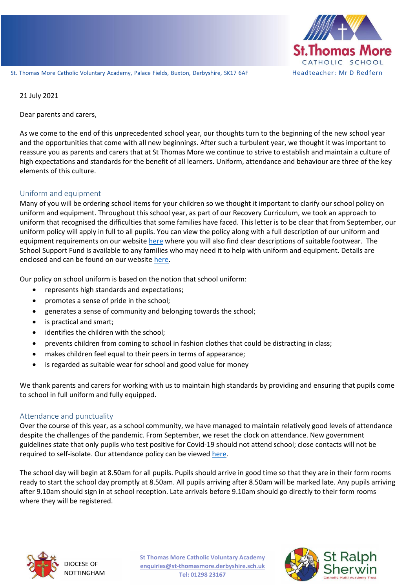

St. Thomas More Catholic Voluntary Academy, Palace Fields, Buxton, Derbyshire, SK17 6AF Headteacher: Mr D Redfern

21 July 2021

Dear parents and carers,

and the opportunities that come with all new beginnings. After such a turbulent year, we thought it was important to As we come to the end of this unprecedented school year, our thoughts turn to the beginning of the new school year reassure you as parents and carers that at St Thomas More we continue to strive to establish and maintain a culture of high expectations and standards for the benefit of all learners. Uniform, attendance and behaviour are three of the key elements of this culture.

## Uniform and equipment

Many of you will be ordering school items for your children so we thought it important to clarify our school policy on uniform and equipment. Throughout this school year, as part of our Recovery Curriculum, we took an approach to uniform that recognised the difficulties that some families have faced. This letter is to be clear that from September, our uniform policy will apply in full to all pupils. You can view the policy along with a full description of our uniform and equipment requirements on our websit[e here](https://www.st-thomasmore.derbyshire.sch.uk/page/?title=Uniform+%26amp%3B+Equipment&pid=26) where you will also find clear descriptions of suitable footwear. The School Support Fund is available to any families who may need it to help with uniform and equipment. Details are enclosed and can be found on our websit[e here.](https://www.st-thomasmore.derbyshire.sch.uk/_site/data/files/A33C2CA59F0189B952261C5C7919F494.pdf)

Our policy on school uniform is based on the notion that school uniform:

- represents high standards and expectations;
- promotes a sense of pride in the school;
- generates a sense of community and belonging towards the school;
- is practical and smart;
- identifies the children with the school;
- prevents children from coming to school in fashion clothes that could be distracting in class;
- makes children feel equal to their peers in terms of appearance;
- is regarded as suitable wear for school and good value for money

We thank parents and carers for working with us to maintain high standards by providing and ensuring that pupils come to school in full uniform and fully equipped.

## Attendance and punctuality

Over the course of this year, as a school community, we have managed to maintain relatively good levels of attendance despite the challenges of the pandemic. From September, we reset the clock on attendance. New government guidelines state that only pupils who test positive for Covid-19 should not attend school; close contacts will not be required to self-isolate. Our attendance policy can be viewed [here.](https://www.st-thomasmore.derbyshire.sch.uk/_site/data/files/252D97117C54E30AD94073DA71DB7D71.pdf)

The school day will begin at 8.50am for all pupils. Pupils should arrive in good time so that they are in their form rooms ready to start the school day promptly at 8.50am. All pupils arriving after 8.50am will be marked late. Any pupils arriving after 9.10am should sign in at school reception. Late arrivals before 9.10am should go directly to their form rooms where they will be registered.



**St Thomas More Catholic Voluntary Academy enquiries@st-thomasmore.derbyshire.sch.uk Tel: 01298 23167**